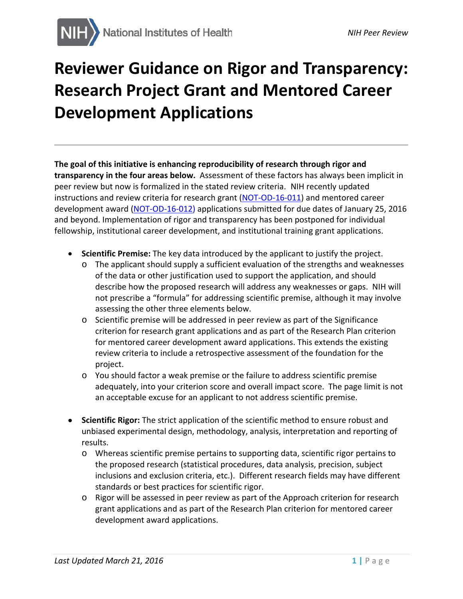## **Reviewer Guidance on Rigor and Transparency: Research Project Grant and Mentored Career Development Applications**

**The goal of this initiative is enhancing reproducibility of research through rigor and transparency in the four areas below.** Assessment of these factors has always been implicit in peer review but now is formalized in the stated review criteria. NIH recently updated instructions and review criteria for research grant [\(NOT-OD-16-011\)](http://grants.nih.gov/grants/guide/notice-files/NOT-OD-16-011.html) and mentored career development award [\(NOT-OD-16-012](http://grants.nih.gov/grants/guide/notice-files/NOT-OD-16-012.html)) applications submitted for due dates of January 25, 2016 and beyond. Implementation of rigor and transparency has been postponed for individual fellowship, institutional career development, and institutional training grant applications.

- **Scientific Premise:** The key data introduced by the applicant to justify the project.
	- o The applicant should supply a sufficient evaluation of the strengths and weaknesses of the data or other justification used to support the application, and should describe how the proposed research will address any weaknesses or gaps. NIH will not prescribe a "formula" for addressing scientific premise, although it may involve assessing the other three elements below.
	- o Scientific premise will be addressed in peer review as part of the Significance criterion for research grant applications and as part of the Research Plan criterion for mentored career development award applications. This extends the existing review criteria to include a retrospective assessment of the foundation for the project.
	- o You should factor a weak premise or the failure to address scientific premise adequately, into your criterion score and overall impact score. The page limit is not an acceptable excuse for an applicant to not address scientific premise.
- **Scientific Rigor:** The strict application of the scientific method to ensure robust and unbiased experimental design, methodology, analysis, interpretation and reporting of results.
	- o Whereas scientific premise pertains to supporting data, scientific rigor pertains to the proposed research (statistical procedures, data analysis, precision, subject inclusions and exclusion criteria, etc.). Different research fields may have different standards or best practices for scientific rigor.
	- o Rigor will be assessed in peer review as part of the Approach criterion for research grant applications and as part of the Research Plan criterion for mentored career development award applications.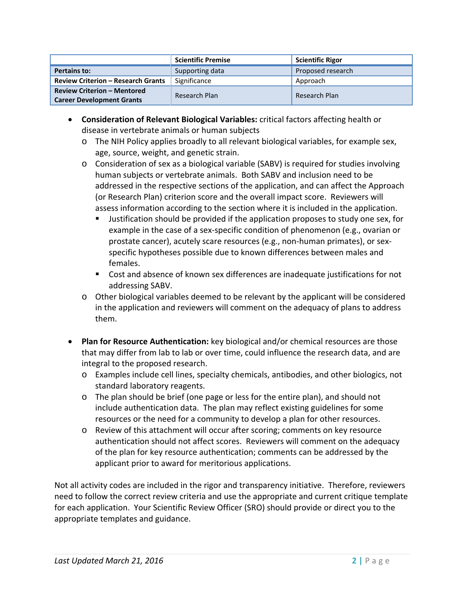|                                                                        | <b>Scientific Premise</b> | <b>Scientific Rigor</b> |
|------------------------------------------------------------------------|---------------------------|-------------------------|
| Pertains to:                                                           | Supporting data           | Proposed research       |
| <b>Review Criterion - Research Grants</b>                              | Significance              | Approach                |
| <b>Review Criterion - Mentored</b><br><b>Career Development Grants</b> | Research Plan             | Research Plan           |

- **Consideration of Relevant Biological Variables:** critical factors affecting health or disease in vertebrate animals or human subjects
	- o The NIH Policy applies broadly to all relevant biological variables, for example sex, age, source, weight, and genetic strain.
	- o Consideration of sex as a biological variable (SABV) is required for studies involving human subjects or vertebrate animals. Both SABV and inclusion need to be addressed in the respective sections of the application, and can affect the Approach (or Research Plan) criterion score and the overall impact score. Reviewers will assess information according to the section where it is included in the application.
		- Justification should be provided if the application proposes to study one sex, for example in the case of a sex-specific condition of phenomenon (e.g., ovarian or prostate cancer), acutely scare resources (e.g., non-human primates), or sexspecific hypotheses possible due to known differences between males and females.
		- Cost and absence of known sex differences are inadequate justifications for not addressing SABV.
	- o Other biological variables deemed to be relevant by the applicant will be considered in the application and reviewers will comment on the adequacy of plans to address them.
- **Plan for Resource Authentication:** key biological and/or chemical resources are those that may differ from lab to lab or over time, could influence the research data, and are integral to the proposed research.
	- o Examples include cell lines, specialty chemicals, antibodies, and other biologics, not standard laboratory reagents.
	- o The plan should be brief (one page or less for the entire plan), and should not include authentication data. The plan may reflect existing guidelines for some resources or the need for a community to develop a plan for other resources.
	- o Review of this attachment will occur after scoring; comments on key resource authentication should not affect scores. Reviewers will comment on the adequacy of the plan for key resource authentication; comments can be addressed by the applicant prior to award for meritorious applications.

Not all activity codes are included in the rigor and transparency initiative. Therefore, reviewers need to follow the correct review criteria and use the appropriate and current critique template for each application. Your Scientific Review Officer (SRO) should provide or direct you to the appropriate templates and guidance.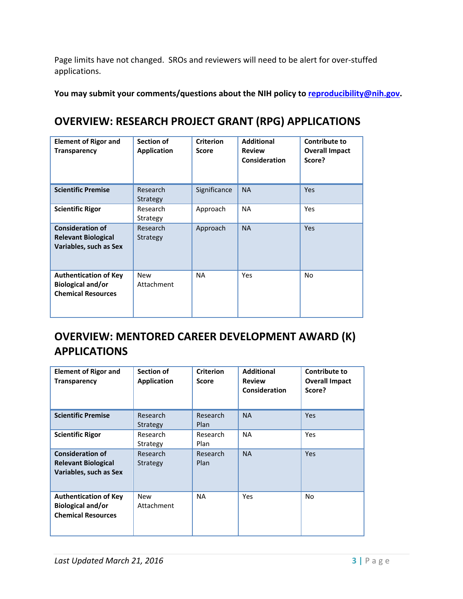Page limits have not changed.SROs and reviewers will need to be alert for over-stuffed applications.

**You may submit your comments/questions about the NIH policy to [reproducibility@nih.gov.](mailto:reproducibility@nih.gov)**

## **OVERVIEW: RESEARCH PROJECT GRANT (RPG) APPLICATIONS**

| <b>Element of Rigor and</b><br><b>Transparency</b>                                    | Section of<br><b>Application</b> | <b>Criterion</b><br><b>Score</b> | <b>Additional</b><br><b>Review</b><br>Consideration | <b>Contribute to</b><br><b>Overall Impact</b><br>Score? |
|---------------------------------------------------------------------------------------|----------------------------------|----------------------------------|-----------------------------------------------------|---------------------------------------------------------|
| <b>Scientific Premise</b>                                                             | Research<br>Strategy             | Significance                     | <b>NA</b>                                           | Yes                                                     |
| <b>Scientific Rigor</b>                                                               | Research<br>Strategy             | Approach                         | <b>NA</b>                                           | Yes                                                     |
| <b>Consideration of</b><br><b>Relevant Biological</b><br>Variables, such as Sex       | Research<br>Strategy             | Approach                         | <b>NA</b>                                           | Yes                                                     |
| <b>Authentication of Key</b><br><b>Biological and/or</b><br><b>Chemical Resources</b> | <b>New</b><br>Attachment         | <b>NA</b>                        | Yes                                                 | No                                                      |

## **OVERVIEW: MENTORED CAREER DEVELOPMENT AWARD (K) APPLICATIONS**

| <b>Element of Rigor and</b><br><b>Transparency</b>                                    | Section of<br><b>Application</b> | <b>Criterion</b><br><b>Score</b> | <b>Additional</b><br><b>Review</b><br>Consideration | <b>Contribute to</b><br><b>Overall Impact</b><br>Score? |
|---------------------------------------------------------------------------------------|----------------------------------|----------------------------------|-----------------------------------------------------|---------------------------------------------------------|
| <b>Scientific Premise</b>                                                             | Research<br>Strategy             | Research<br>Plan                 | <b>NA</b>                                           | Yes                                                     |
| <b>Scientific Rigor</b>                                                               | Research<br>Strategy             | Research<br>Plan                 | <b>NA</b>                                           | Yes                                                     |
| <b>Consideration of</b><br><b>Relevant Biological</b><br>Variables, such as Sex       | Research<br>Strategy             | Research<br>Plan                 | <b>NA</b>                                           | Yes                                                     |
| <b>Authentication of Key</b><br><b>Biological and/or</b><br><b>Chemical Resources</b> | New<br>Attachment                | <b>NA</b>                        | <b>Yes</b>                                          | No.                                                     |